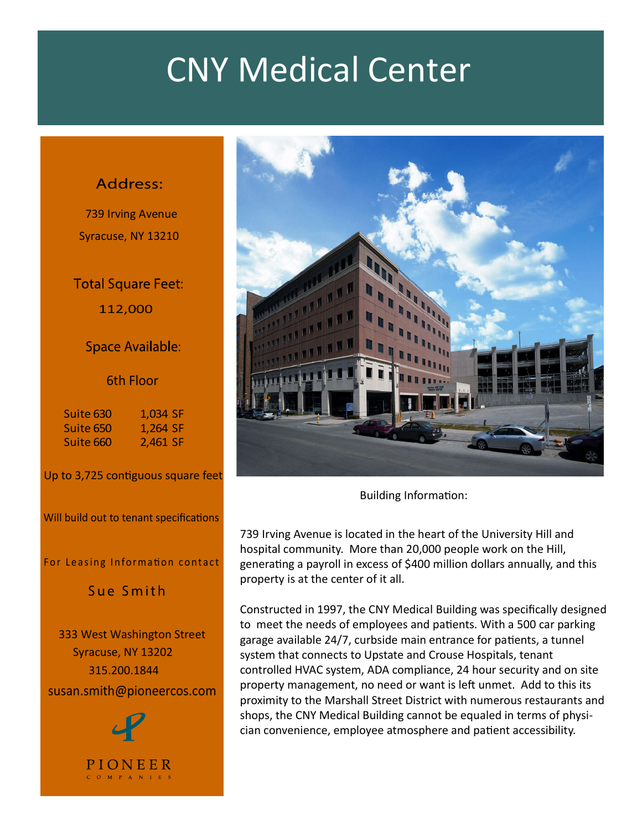# CNY Medical Center

739 Irving Avenue Syracuse, NY 13210

112,000

### 6th Floor

Suite 630 1,034 SF Suite 660 2,461 SF

Up to 3,725 contiguous square feet

Will build out to tenant specifications

333 West Washington Street Syracuse, NY 13202 315.200.1844 susan.smith@pioneercos.com



PIONEER  $C$  O M P A N I E S



Building Information:

739 Irving Avenue is located in the heart of the University Hill and hospital community. More than 20,000 people work on the Hill, generating a payroll in excess of \$400 million dollars annually, and this property is at the center of it all.

Constructed in 1997, the CNY Medical Building was specifically designed to meet the needs of employees and patients. With a 500 car parking garage available 24/7, curbside main entrance for patients, a tunnel system that connects to Upstate and Crouse Hospitals, tenant controlled HVAC system, ADA compliance, 24 hour security and on site property management, no need or want is left unmet. Add to this its proximity to the Marshall Street District with numerous restaurants and shops, the CNY Medical Building cannot be equaled in terms of physician convenience, employee atmosphere and patient accessibility.